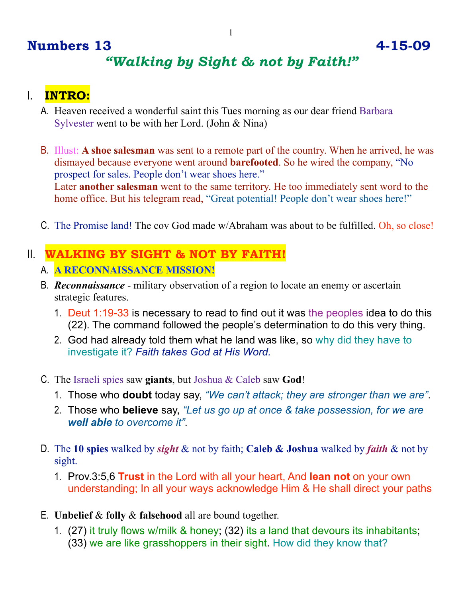## **Numbers 13 4-15-09** *"Walking by Sight & not by Faith!"*

## I. **INTRO:**

- A. Heaven received a wonderful saint this Tues morning as our dear friend Barbara Sylvester went to be with her Lord. (John & Nina)
- B. Illust: **A shoe salesman** was sent to a remote part of the country. When he arrived, he was dismayed because everyone went around **barefooted**. So he wired the company, "No prospect for sales. People don't wear shoes here." Later **another salesman** went to the same territory. He too immediately sent word to the home office. But his telegram read, "Great potential! People don't wear shoes here!"
- C. The Promise land! The cov God made w/Abraham was about to be fulfilled. Oh, so close!

## II. **WALKING BY SIGHT & NOT BY FAITH!** A. **A RECONNAISSANCE MISSION!**

- B. *Reconnaissance* military observation of a region to locate an enemy or ascertain strategic features.
	- 1. Deut 1:19-33 is necessary to read to find out it was the peoples idea to do this (22). The command followed the people's determination to do this very thing.
	- 2. God had already told them what he land was like, so why did they have to investigate it? *Faith takes God at His Word.*
- C. The Israeli spies saw **giants**, but Joshua & Caleb saw **God**!
	- 1. Those who **doubt** today say, *"We can't attack; they are stronger than we are"*.
	- 2. Those who **believe** say, *"Let us go up at once & take possession, for we are well able to overcome it"*.
- D. The **10 spies** walked by *sight* & not by faith; **Caleb & Joshua** walked by *faith* & not by sight.
	- 1. Prov.3:5,6 **Trust** in the Lord with all your heart, And **lean not** on your own understanding; In all your ways acknowledge Him & He shall direct your paths
- E. **Unbelief** & **folly** & **falsehood** all are bound together.
	- 1. (27) it truly flows w/milk & honey; (32) its a land that devours its inhabitants; (33) we are like grasshoppers in their sight. How did they know that?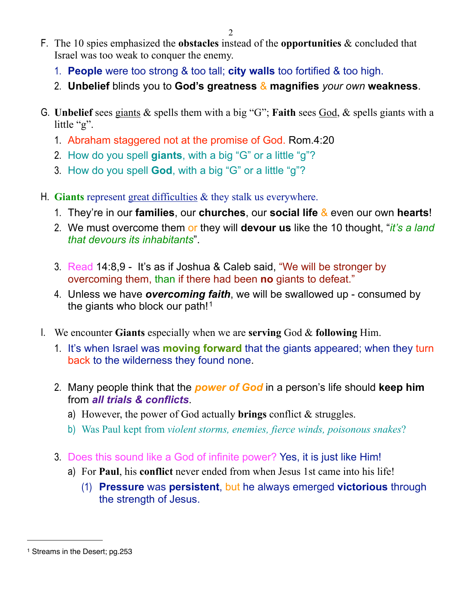- F. The 10 spies emphasized the **obstacles** instead of the **opportunities** & concluded that Israel was too weak to conquer the enemy.
	- 1. **People** were too strong & too tall; **city walls** too fortified & too high.
	- 2. **Unbelief** blinds you to **God's greatness** & **magnifies** *your own* **weakness**.
- G. **Unbelief** sees giants & spells them with a big "G"; **Faith** sees God, & spells giants with a little "g".
	- 1. Abraham staggered not at the promise of God. Rom.4:20
	- 2. How do you spell **giants**, with a big "G" or a little "g"?
	- 3. How do you spell **God**, with a big "G" or a little "g"?
- H. **Giants** represent great difficulties & they stalk us everywhere.
	- 1. They're in our **families**, our **churches**, our **social life** & even our own **hearts**!
	- 2. We must overcome them or they will **devour us** like the 10 thought, "*it's a land that devours its inhabitants*".
	- 3. Read 14:8,9 It's as if Joshua & Caleb said, "We will be stronger by overcoming them, than if there had been **no** giants to defeat."
	- 4. Unless we have *overcoming faith*, we will be swallowed up consumed by the giants who block our path!<sup>[1](#page-1-0)</sup>
- I. We encounter **Giants** especially when we are **serving** God & **following** Him.
	- 1. It's when Israel was **moving forward** that the giants appeared; when they turn back to the wilderness they found none.
	- 2. Many people think that the *power of God* in a person's life should **keep him** from *all trials & conflicts*.
		- a) However, the power of God actually **brings** conflict & struggles.
		- b) Was Paul kept from *violent storms, enemies, fierce winds, poisonous snakes*?
	- 3. Does this sound like a God of infinite power? Yes, it is just like Him!
		- a) For **Paul**, his **conflict** never ended from when Jesus 1st came into his life!
			- (1) **Pressure** was **persistent**, but he always emerged **victorious** through the strength of Jesus.

<span id="page-1-0"></span><sup>1</sup> Streams in the Desert; pg.253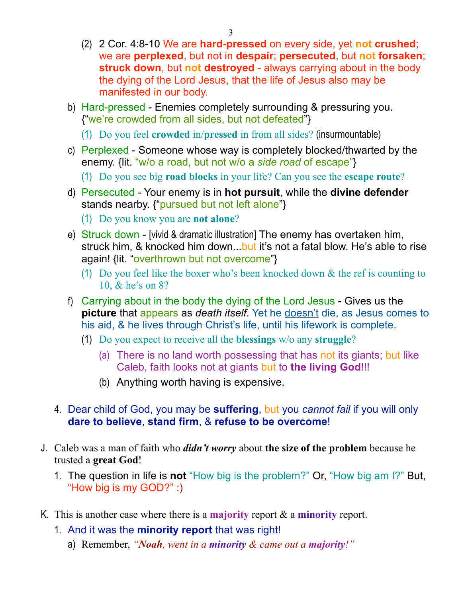- (2) 2 Cor. 4:8-10 We are **hard-pressed** on every side, yet **not crushed**; we are **perplexed**, but not in **despair**; **persecuted**, but **not forsaken**; **struck down**, but **not destroyed** - always carrying about in the body the dying of the Lord Jesus, that the life of Jesus also may be manifested in our body.
- b) Hard-pressed Enemies completely surrounding & pressuring you. {"we're crowded from all sides, but not defeated"}
	- (1) Do you feel **crowded** in/**pressed** in from all sides? (insurmountable)
- c) Perplexed Someone whose way is completely blocked/thwarted by the enemy. {lit. "w/o a road, but not w/o a *side road* of escape"}
	- (1) Do you see big **road blocks** in your life? Can you see the **escape route**?
- d) Persecuted Your enemy is in **hot pursuit**, while the **divine defender** stands nearby. {"pursued but not left alone"}
	- (1) Do you know you are **not alone**?
- e) Struck down [vivid & dramatic illustration] The enemy has overtaken him, struck him, & knocked him down...but it's not a fatal blow. He's able to rise again! {lit. "overthrown but not overcome"}
	- (1) Do you feel like the boxer who's been knocked down & the ref is counting to 10, & he's on 8?
- f) Carrying about in the body the dying of the Lord Jesus Gives us the **picture** that appears as *death itself*. Yet he doesn't die, as Jesus comes to his aid, & he lives through Christ's life, until his lifework is complete.
	- (1) Do you expect to receive all the **blessings** w/o any **struggle**?
		- (a) There is no land worth possessing that has not its giants; but like Caleb, faith looks not at giants but to **the living God**!!!
		- (b) Anything worth having is expensive.
- 4. Dear child of God, you may be **suffering**, but you *cannot fail* if you will only **dare to believe**, **stand firm**, & **refuse to be overcome**!
- J. Caleb was a man of faith who *didn't worry* about **the size of the problem** because he trusted a **great God**!
	- 1. The question in life is **not** "How big is the problem?" Or, "How big am I?" But, "How big is my GOD?" :)
- K. This is another case where there is a **majority** report & a **minority** report.
	- 1. And it was the **minority report** that was right!
		- a) Remember, *"Noah, went in a minority & came out a majority!"*